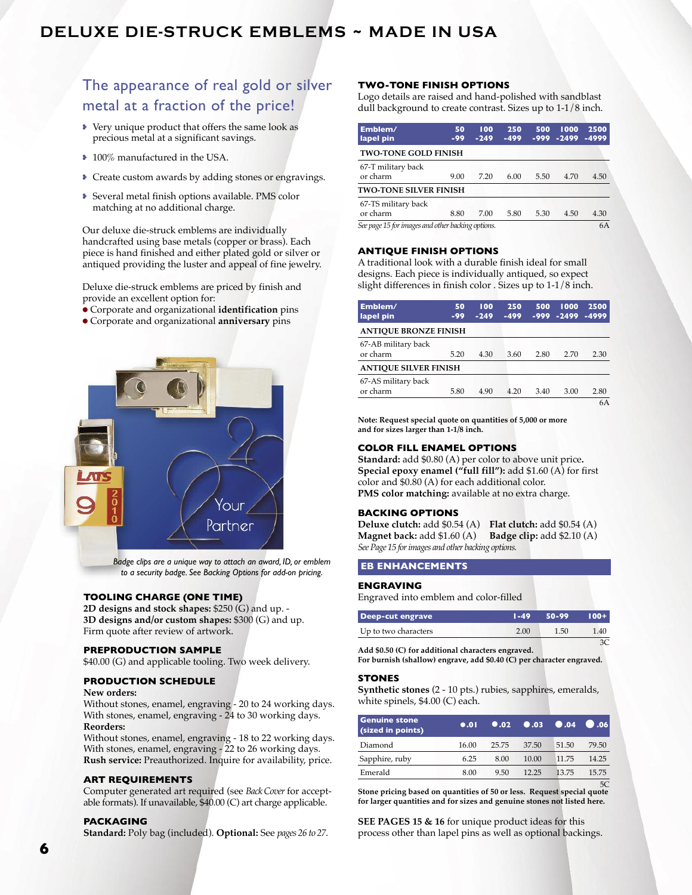## **DElUXE DiE-StrUcK EMBlEMS ~ MADE iN USA**

## The appearance of real gold or silver metal at a fraction of the price!

- Very unique product that offers the same look as precious metal at a significant savings.
- 100% manufactured in the USA.
- Create custom awards by adding stones or engravings.
- Several metal finish options available. PMS color matching at no additional charge.

Our deluxe die-struck emblems are individually handcrafted using base metals (copper or brass). Each piece is hand finished and either plated gold or silver or antiqued providing the luster and appeal of fine jewelry.

Deluxe die-struck emblems are priced by finish and provide an excellent option for:

- l Corporate and organizational **identification** pins
- l Corporate and organizational **anniversary** pins



*Badge clips are a unique way to attach an award, ID, or emblem to a security badge. See Backing Options for add-on pricing.*

## **TOOLING CHARGE (ONE TIME)**

**2D designs and stock shapes:** \$250 (G) and up. - **3D designs and/or custom shapes:** \$300 (G) and up. Firm quote after review of artwork.

## **PREPRODUCTION SAMPLE**

\$40.00 (G) and applicable tooling. Two week delivery.

### **PRODUCTION SCHEDULE**

## **New orders:**

Without stones, enamel, engraving - 20 to 24 working days. With stones, enamel, engraving - 24 to 30 working days. **Reorders:**

Without stones, enamel, engraving - 18 to 22 working days. With stones, enamel, engraving - 22 to 26 working days. **Rush service:** Preauthorized. Inquire for availability, price.

## **ART REQUIREMENTS**

Computer generated art required (see *BackCover* for acceptable formats). If unavailable, \$40.00 (C) art charge applicable.

## **PACKAGING**

**Standard:** Poly bag (included). **Optional:** See *pages 26 to 27*.

## **TWO-TONE fINISH OPTIONS**

Logo details are raised and hand-polished with sandblast dull background to create contrast. Sizes up to 1-1/8 inch.

| Emblem/<br>lapel pin                              | 50<br>$-99$ | 100<br>$-249$ | 250<br>$-499$ | 500<br>-999 | 1000<br>$-2499$ | 2500<br>$-4999$ |
|---------------------------------------------------|-------------|---------------|---------------|-------------|-----------------|-----------------|
| <b>TWO-TONE GOLD FINISH</b>                       |             |               |               |             |                 |                 |
| 67-T military back<br>or charm                    | 9.00        | 7.20          | 6.00          | 5.50        | 4.70            | 4.50            |
| <b>TWO-TONE SILVER FINISH</b>                     |             |               |               |             |                 |                 |
| 67-TS military back<br>or charm                   | 8.80        | 7.00          | 5.80          | 5.30        | 4.50            | 4.30            |
| See page 15 for images and other backing options. |             |               |               |             |                 | 6A              |

## **ANTIQUE fINISH OPTIONS**

A traditional look with a durable finish ideal for small designs. Each piece is individually antiqued, so expect slight differences in finish color . Sizes up to 1-1/8 inch.

| Emblem/<br>lapel pin            | 50<br>$-99$ | 100<br>$-249$ | 250<br>$-499$ | 500<br>-999 | 1000<br>$-2499$ | 2500<br>$-4999$ |
|---------------------------------|-------------|---------------|---------------|-------------|-----------------|-----------------|
| <b>ANTIQUE BRONZE FINISH</b>    |             |               |               |             |                 |                 |
| 67-AB military back<br>or charm | 5.20        | 4.30          | 3.60          | 2.80        | 2.70            | 2.30            |
| <b>ANTIOUE SILVER FINISH</b>    |             |               |               |             |                 |                 |
| 67-AS military back<br>or charm | 5.80        | 4.90          | 4.20          | 3.40        | 3.00            | 2.80            |
|                                 |             |               |               |             |                 | 6A              |

**Note: Request special quote on quantities of 5,000 or more and for sizes larger than 1-1/8 inch.**

## **COLOR fILL ENAMEL OPTIONS**

**Standard:** add \$0.80 (A) per color to above unit price**. Special epoxy enamel ("full fill"):** add \$1.60 (A) for first color and \$0.80 (A) for each additional color. **PMS color matching:** available at no extra charge.

## **BACKING OPTIONS**

**Deluxe clutch:** add \$0.54 (A) **Flat clutch:** add \$0.54 (A) **Magnet back:** add \$1.60 (A) **Badge clip:** add \$2.10 (A) *SeePage 15 forimages and other backing options.*

## **EB ENHANCEMENTS**

#### **ENGRAVING**

Engraved into emblem and color-filled

| <b>Deep-cut engrave</b> | $1 - 49$ | 50-99 | $100 + 1$ |
|-------------------------|----------|-------|-----------|
| Up to two characters    | 2.00     | 1.50  | 1.40      |
|                         |          |       |           |

**Add \$0.50 (C) for additional characters engraved. For burnish (shallow) engrave, add \$0.40 (C) per character engraved.**

### **STONES**

**Synthetic stones** (2 - 10 pts.) rubies, sapphires, emeralds, white spinels, \$4.00 (C) each.

| <b>Genuine stone</b><br>(sized in points) | 0.01  |       | $0.02$ $0.03$ $0.04$ |       | $\bigcirc$ .06 |
|-------------------------------------------|-------|-------|----------------------|-------|----------------|
| Diamond                                   | 16.00 | 25.75 | 37.50                | 51.50 | 79.50          |
| Sapphire, ruby                            | 6.25  | 8.00  | 10.00                | 11.75 | 14.25          |
| Emerald                                   | 8.00  | 9.50  | 12.25                | 13.75 | 15.75          |

5C **Stone pricing based on quantities of 50 or less. Request special quote for larger quantities and for sizes and genuine stones not listed here.**

**SEE PAGES 15 & 16** for unique product ideas for this process other than lapel pins as well as optional backings.